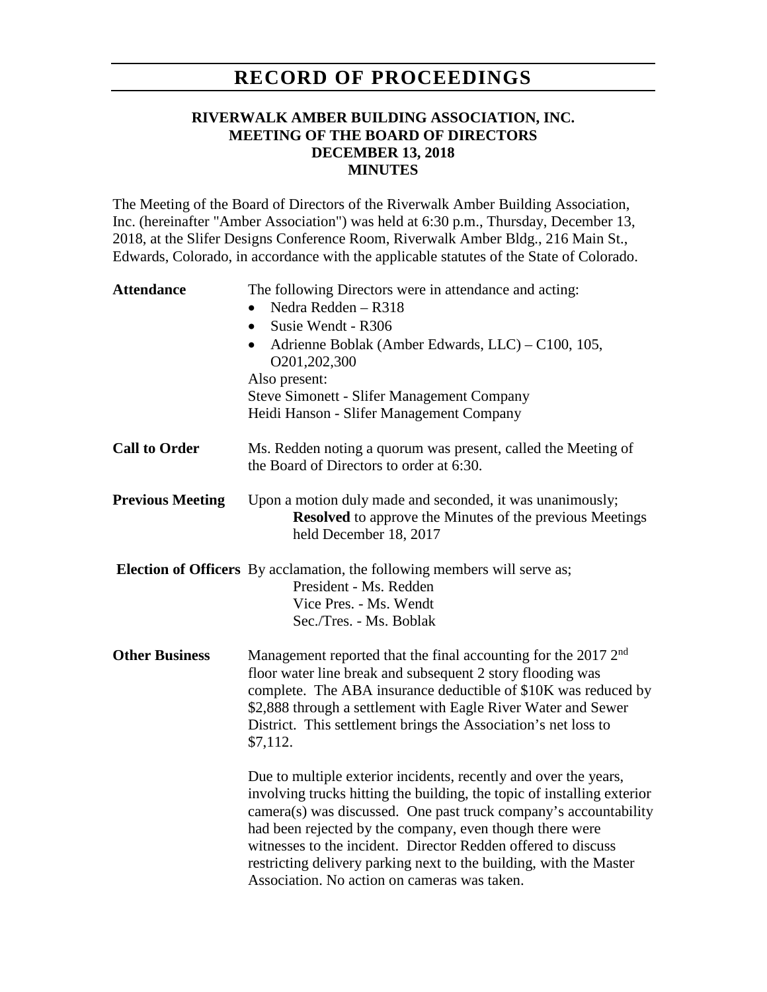# **RECORD OF PROCEEDINGS**

#### **RIVERWALK AMBER BUILDING ASSOCIATION, INC. MEETING OF THE BOARD OF DIRECTORS DECEMBER 13, 2018 MINUTES**

The Meeting of the Board of Directors of the Riverwalk Amber Building Association, Inc. (hereinafter "Amber Association") was held at 6:30 p.m., Thursday, December 13, 2018, at the Slifer Designs Conference Room, Riverwalk Amber Bldg., 216 Main St., Edwards, Colorado, in accordance with the applicable statutes of the State of Colorado.

| <b>Attendance</b>       | The following Directors were in attendance and acting:<br>Nedra Redden - R318<br>Susie Wendt - R306<br>$\bullet$<br>Adrienne Boblak (Amber Edwards, LLC) – C100, 105,<br>O201,202,300<br>Also present:<br><b>Steve Simonett - Slifer Management Company</b><br>Heidi Hanson - Slifer Management Company                                                                                                                                                            |
|-------------------------|--------------------------------------------------------------------------------------------------------------------------------------------------------------------------------------------------------------------------------------------------------------------------------------------------------------------------------------------------------------------------------------------------------------------------------------------------------------------|
| <b>Call to Order</b>    | Ms. Redden noting a quorum was present, called the Meeting of<br>the Board of Directors to order at 6:30.                                                                                                                                                                                                                                                                                                                                                          |
| <b>Previous Meeting</b> | Upon a motion duly made and seconded, it was unanimously;<br><b>Resolved</b> to approve the Minutes of the previous Meetings<br>held December 18, 2017                                                                                                                                                                                                                                                                                                             |
|                         | <b>Election of Officers</b> By acclamation, the following members will serve as;<br>President - Ms. Redden<br>Vice Pres. - Ms. Wendt<br>Sec./Tres. - Ms. Boblak                                                                                                                                                                                                                                                                                                    |
| <b>Other Business</b>   | Management reported that the final accounting for the 2017 2 <sup>nd</sup><br>floor water line break and subsequent 2 story flooding was<br>complete. The ABA insurance deductible of \$10K was reduced by<br>\$2,888 through a settlement with Eagle River Water and Sewer<br>District. This settlement brings the Association's net loss to<br>\$7,112.                                                                                                          |
|                         | Due to multiple exterior incidents, recently and over the years,<br>involving trucks hitting the building, the topic of installing exterior<br>camera(s) was discussed. One past truck company's accountability<br>had been rejected by the company, even though there were<br>witnesses to the incident. Director Redden offered to discuss<br>restricting delivery parking next to the building, with the Master<br>Association. No action on cameras was taken. |